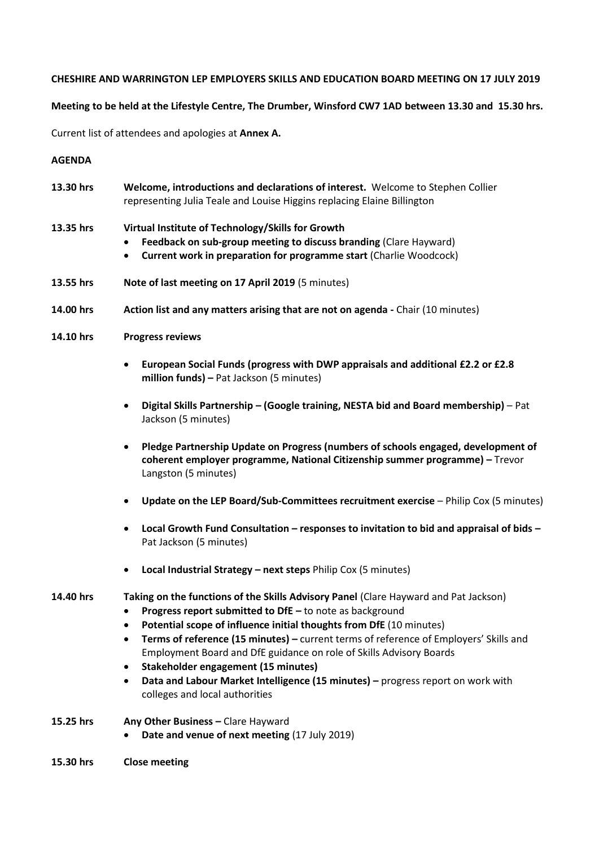## **CHESHIRE AND WARRINGTON LEP EMPLOYERS SKILLS AND EDUCATION BOARD MEETING ON 17 JULY 2019**

## **Meeting to be held at the Lifestyle Centre, The Drumber, Winsford CW7 1AD between 13.30 and 15.30 hrs.**

Current list of attendees and apologies at **Annex A.**

## **AGENDA**

| 13.30 hrs | Welcome, introductions and declarations of interest. Welcome to Stephen Collier |
|-----------|---------------------------------------------------------------------------------|
|           | representing Julia Teale and Louise Higgins replacing Elaine Billington         |

## **13.35 hrs Virtual Institute of Technology/Skills for Growth**

- **Feedback on sub-group meeting to discuss branding** (Clare Hayward)
- **Current work in preparation for programme start** (Charlie Woodcock)
- **13.55 hrs Note of last meeting on 17 April 2019** (5 minutes)
- **14.00 hrs Action list and any matters arising that are not on agenda -** Chair (10 minutes)
- **14.10 hrs Progress reviews**
	- **European Social Funds (progress with DWP appraisals and additional £2.2 or £2.8 million funds) –** Pat Jackson (5 minutes)
	- **Digital Skills Partnership – (Google training, NESTA bid and Board membership)**  Pat Jackson (5 minutes)
	- **Pledge Partnership Update on Progress (numbers of schools engaged, development of coherent employer programme, National Citizenship summer programme) –** Trevor Langston (5 minutes)
	- **Update on the LEP Board/Sub-Committees recruitment exercise** Philip Cox (5 minutes)
	- **Local Growth Fund Consultation – responses to invitation to bid and appraisal of bids –** Pat Jackson (5 minutes)
	- **Local Industrial Strategy – next steps** Philip Cox (5 minutes)

# **14.40 hrs Taking on the functions of the Skills Advisory Panel** (Clare Hayward and Pat Jackson)

- **Progress report submitted to DfE –** to note as background
- **Potential scope of influence initial thoughts from DfE** (10 minutes)
- **Terms of reference (15 minutes) –** current terms of reference of Employers' Skills and Employment Board and DfE guidance on role of Skills Advisory Boards
- **Stakeholder engagement (15 minutes)**
- **Data and Labour Market Intelligence (15 minutes) –** progress report on work with colleges and local authorities
- **15.25 hrs Any Other Business –** Clare Hayward
	- **Date and venue of next meeting** (17 July 2019)
- **15.30 hrs Close meeting**